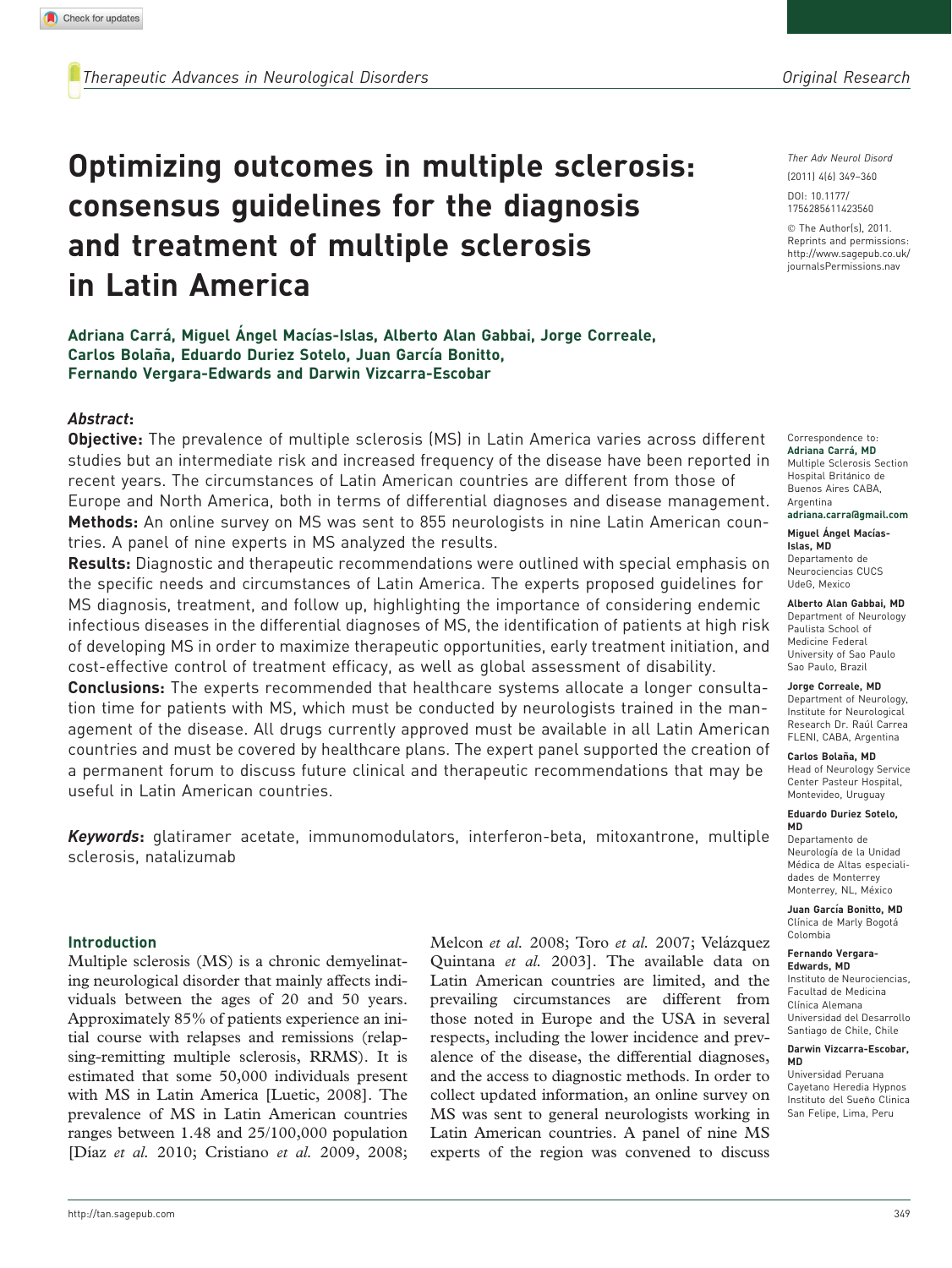in Latin America

Ther Adv Neurol Disord

(2011) 4(6) 349–360 DOI: 10.1177/ 1756285611423560

 $\circledcirc$  The Author(s), 2011. Reprints and permissions: http://www.sagepub.co.uk/ journalsPermissions.nav

Correspondence to: Adriana Carrá, MD Multiple Sclerosis Section Hospital Británico de Buenos Aires CABA, Argentina

adriana.carra@gmail.com

Miguel Ángel Macías-Islas, MD Departamento de Neurociencias CUCS

UdeG, Mexico

Alberto Alan Gabbai, MD

Department of Neurology Paulista School of Medicine Federal University of Sao Paulo Sao Paulo, Brazil

Jorge Correale, MD

Department of Neurology, Institute for Neurological Research Dr. Raúl Carrea FLENI, CABA, Argentina

Carlos Bolaña, MD

Head of Neurology Service Center Pasteur Hospital, Montevideo, Uruguay

#### Eduardo Duriez Sotelo, MD

Departamento de Neurología de la Unidad Médica de Altas especialidades de Monterrey Monterrey, NL, México

Juan García Bonitto, MD Clínica de Marly Bogotá Colombia

### Fernando Vergara-Edwards, MD

Instituto de Neurociencias, Facultad de Medicina Clínica Alemana Universidad del Desarrollo Santiago de Chile, Chile

### Darwin Vizcarra-Escobar, MD

Universidad Peruana Cayetano Heredia Hypnos Instituto del Sueño Clinica San Felipe, Lima, Peru

Adriana Carrá, Miguel Ángel Macías-Islas, Alberto Alan Gabbai, Jorge Correale, Carlos Bolaña, Eduardo Duriez Sotelo, Juan García Bonitto, Fernando Vergara-Edwards and Darwin Vizcarra-Escobar

consensus guidelines for the diagnosis

and treatment of multiple sclerosis

Optimizing outcomes in multiple sclerosis:

## Abstract:

Objective: The prevalence of multiple sclerosis (MS) in Latin America varies across different studies but an intermediate risk and increased frequency of the disease have been reported in recent years. The circumstances of Latin American countries are different from those of Europe and North America, both in terms of differential diagnoses and disease management. Methods: An online survey on MS was sent to 855 neurologists in nine Latin American countries. A panel of nine experts in MS analyzed the results.

Results: Diagnostic and therapeutic recommendations were outlined with special emphasis on the specific needs and circumstances of Latin America. The experts proposed guidelines for MS diagnosis, treatment, and follow up, highlighting the importance of considering endemic infectious diseases in the differential diagnoses of MS, the identification of patients at high risk of developing MS in order to maximize therapeutic opportunities, early treatment initiation, and cost-effective control of treatment efficacy, as well as global assessment of disability.

Conclusions: The experts recommended that healthcare systems allocate a longer consultation time for patients with MS, which must be conducted by neurologists trained in the management of the disease. All drugs currently approved must be available in all Latin American countries and must be covered by healthcare plans. The expert panel supported the creation of a permanent forum to discuss future clinical and therapeutic recommendations that may be useful in Latin American countries.

Keywords: glatiramer acetate, immunomodulators, interferon-beta, mitoxantrone, multiple sclerosis, natalizumab

## Introduction

Multiple sclerosis (MS) is a chronic demyelinating neurological disorder that mainly affects individuals between the ages of 20 and 50 years. Approximately 85% of patients experience an initial course with relapses and remissions (relapsing-remitting multiple sclerosis, RRMS). It is estimated that some 50,000 individuals present with MS in Latin America [Luetic, 2008]. The prevalence of MS in Latin American countries ranges between 1.48 and 25/100,000 population [Díaz et al. 2010; Cristiano et al. 2009, 2008;

Melcon et al. 2008; Toro et al. 2007; Velázquez Quintana et al. 2003]. The available data on Latin American countries are limited, and the prevailing circumstances are different from those noted in Europe and the USA in several respects, including the lower incidence and prevalence of the disease, the differential diagnoses, and the access to diagnostic methods. In order to collect updated information, an online survey on MS was sent to general neurologists working in Latin American countries. A panel of nine MS experts of the region was convened to discuss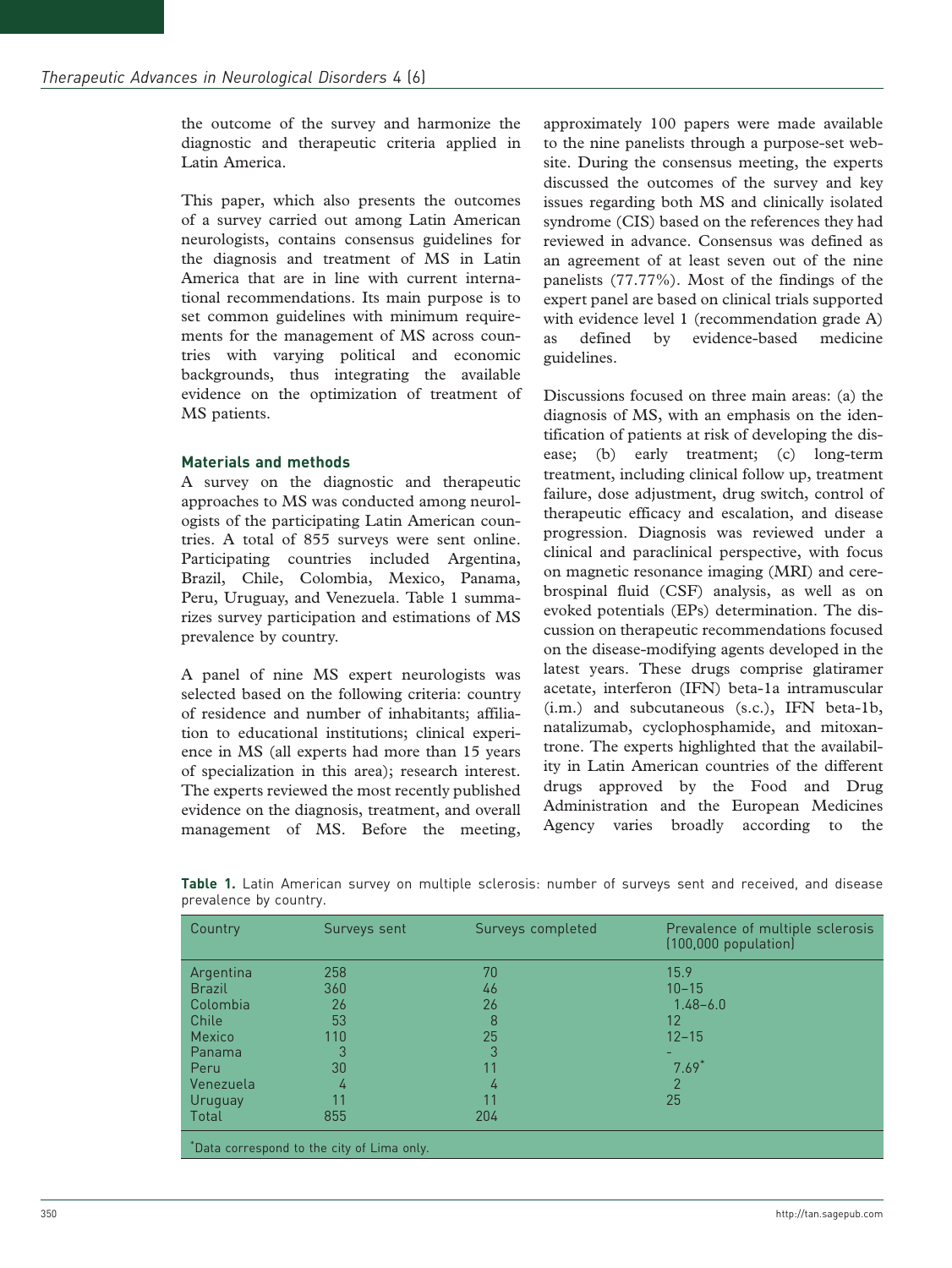the outcome of the survey and harmonize the diagnostic and therapeutic criteria applied in Latin America.

This paper, which also presents the outcomes of a survey carried out among Latin American neurologists, contains consensus guidelines for the diagnosis and treatment of MS in Latin America that are in line with current international recommendations. Its main purpose is to set common guidelines with minimum requirements for the management of MS across countries with varying political and economic backgrounds, thus integrating the available evidence on the optimization of treatment of MS patients.

### Materials and methods

A survey on the diagnostic and therapeutic approaches to MS was conducted among neurologists of the participating Latin American countries. A total of 855 surveys were sent online. Participating countries included Argentina, Brazil, Chile, Colombia, Mexico, Panama, Peru, Uruguay, and Venezuela. Table 1 summarizes survey participation and estimations of MS prevalence by country.

A panel of nine MS expert neurologists was selected based on the following criteria: country of residence and number of inhabitants; affiliation to educational institutions; clinical experience in MS (all experts had more than 15 years of specialization in this area); research interest. The experts reviewed the most recently published evidence on the diagnosis, treatment, and overall management of MS. Before the meeting,

approximately 100 papers were made available to the nine panelists through a purpose-set website. During the consensus meeting, the experts discussed the outcomes of the survey and key issues regarding both MS and clinically isolated syndrome (CIS) based on the references they had reviewed in advance. Consensus was defined as an agreement of at least seven out of the nine panelists (77.77%). Most of the findings of the expert panel are based on clinical trials supported with evidence level 1 (recommendation grade A) as defined by evidence-based medicine guidelines.

Discussions focused on three main areas: (a) the diagnosis of MS, with an emphasis on the identification of patients at risk of developing the disease; (b) early treatment; (c) long-term treatment, including clinical follow up, treatment failure, dose adjustment, drug switch, control of therapeutic efficacy and escalation, and disease progression. Diagnosis was reviewed under a clinical and paraclinical perspective, with focus on magnetic resonance imaging (MRI) and cerebrospinal fluid (CSF) analysis, as well as on evoked potentials (EPs) determination. The discussion on therapeutic recommendations focused on the disease-modifying agents developed in the latest years. These drugs comprise glatiramer acetate, interferon (IFN) beta-1a intramuscular (i.m.) and subcutaneous (s.c.), IFN beta-1b, natalizumab, cyclophosphamide, and mitoxantrone. The experts highlighted that the availability in Latin American countries of the different drugs approved by the Food and Drug Administration and the European Medicines Agency varies broadly according to the

|  |                        |  | Table 1. Latin American survey on multiple sclerosis: number of surveys sent and received, and disease |  |  |  |  |
|--|------------------------|--|--------------------------------------------------------------------------------------------------------|--|--|--|--|
|  | prevalence by country. |  |                                                                                                        |  |  |  |  |

| Country                                   | Surveys sent | Surveys completed | Prevalence of multiple sclerosis<br>$(100,000$ population) |  |  |  |  |
|-------------------------------------------|--------------|-------------------|------------------------------------------------------------|--|--|--|--|
| Argentina                                 | 258          | 70                | 15.9                                                       |  |  |  |  |
| <b>Brazil</b>                             | 360          | 46                | $10 - 15$                                                  |  |  |  |  |
| Colombia                                  | 26           | 26                | $1.48 - 6.0$                                               |  |  |  |  |
| Chile                                     | 53           | 8                 | 12                                                         |  |  |  |  |
| <b>Mexico</b>                             | 110          | 25                | $12 - 15$                                                  |  |  |  |  |
| Panama                                    | 3            | 3                 |                                                            |  |  |  |  |
| Peru                                      | 30           |                   | $7.69*$                                                    |  |  |  |  |
| Venezuela                                 | 4            | 4                 | 2                                                          |  |  |  |  |
| Uruguay                                   | 11           | 11                | 25                                                         |  |  |  |  |
| Total                                     | 855          | 204               |                                                            |  |  |  |  |
| Data correspond to the city of Lima only. |              |                   |                                                            |  |  |  |  |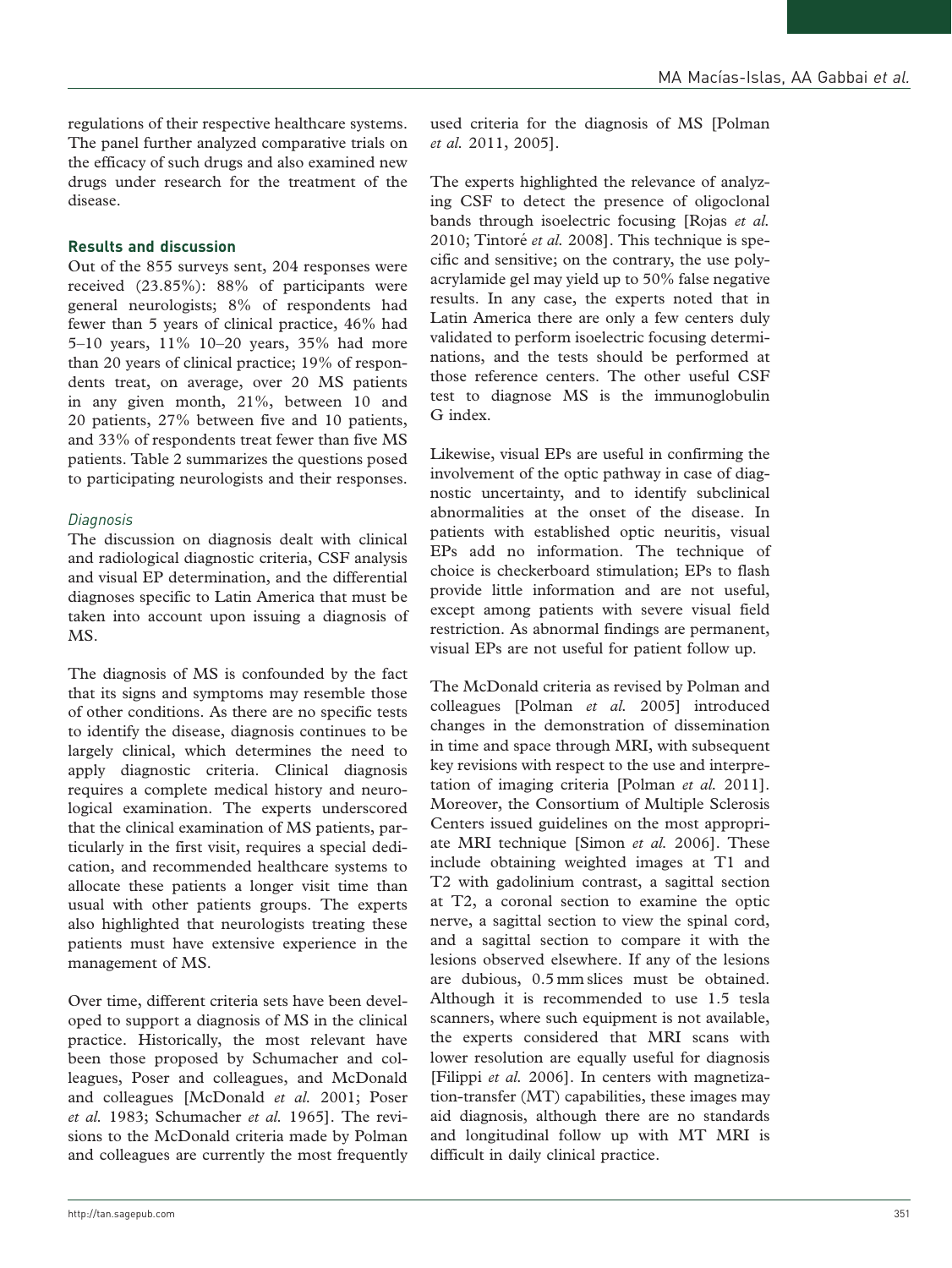regulations of their respective healthcare systems. The panel further analyzed comparative trials on the efficacy of such drugs and also examined new drugs under research for the treatment of the disease.

# Results and discussion

Out of the 855 surveys sent, 204 responses were received (23.85%): 88% of participants were general neurologists; 8% of respondents had fewer than 5 years of clinical practice, 46% had 5–10 years, 11% 10–20 years, 35% had more than 20 years of clinical practice; 19% of respondents treat, on average, over 20 MS patients in any given month, 21%, between 10 and 20 patients, 27% between five and 10 patients, and 33% of respondents treat fewer than five MS patients. Table 2 summarizes the questions posed to participating neurologists and their responses.

## **Diagnosis**

The discussion on diagnosis dealt with clinical and radiological diagnostic criteria, CSF analysis and visual EP determination, and the differential diagnoses specific to Latin America that must be taken into account upon issuing a diagnosis of MS.

The diagnosis of MS is confounded by the fact that its signs and symptoms may resemble those of other conditions. As there are no specific tests to identify the disease, diagnosis continues to be largely clinical, which determines the need to apply diagnostic criteria. Clinical diagnosis requires a complete medical history and neurological examination. The experts underscored that the clinical examination of MS patients, particularly in the first visit, requires a special dedication, and recommended healthcare systems to allocate these patients a longer visit time than usual with other patients groups. The experts also highlighted that neurologists treating these patients must have extensive experience in the management of MS.

Over time, different criteria sets have been developed to support a diagnosis of MS in the clinical practice. Historically, the most relevant have been those proposed by Schumacher and colleagues, Poser and colleagues, and McDonald and colleagues [McDonald et al. 2001; Poser et al. 1983; Schumacher et al. 1965]. The revisions to the McDonald criteria made by Polman and colleagues are currently the most frequently

used criteria for the diagnosis of MS [Polman et al. 2011, 2005].

The experts highlighted the relevance of analyzing CSF to detect the presence of oligoclonal bands through isoelectric focusing [Rojas et al. 2010; Tintoré et al. 2008]. This technique is specific and sensitive; on the contrary, the use polyacrylamide gel may yield up to 50% false negative results. In any case, the experts noted that in Latin America there are only a few centers duly validated to perform isoelectric focusing determinations, and the tests should be performed at those reference centers. The other useful CSF test to diagnose MS is the immunoglobulin G index.

Likewise, visual EPs are useful in confirming the involvement of the optic pathway in case of diagnostic uncertainty, and to identify subclinical abnormalities at the onset of the disease. In patients with established optic neuritis, visual EPs add no information. The technique of choice is checkerboard stimulation; EPs to flash provide little information and are not useful, except among patients with severe visual field restriction. As abnormal findings are permanent, visual EPs are not useful for patient follow up.

The McDonald criteria as revised by Polman and colleagues [Polman et al. 2005] introduced changes in the demonstration of dissemination in time and space through MRI, with subsequent key revisions with respect to the use and interpretation of imaging criteria [Polman et al. 2011]. Moreover, the Consortium of Multiple Sclerosis Centers issued guidelines on the most appropriate MRI technique [Simon et al. 2006]. These include obtaining weighted images at T1 and T2 with gadolinium contrast, a sagittal section at T2, a coronal section to examine the optic nerve, a sagittal section to view the spinal cord, and a sagittal section to compare it with the lesions observed elsewhere. If any of the lesions are dubious, 0.5 mm slices must be obtained. Although it is recommended to use 1.5 tesla scanners, where such equipment is not available, the experts considered that MRI scans with lower resolution are equally useful for diagnosis [Filippi et al. 2006]. In centers with magnetization-transfer (MT) capabilities, these images may aid diagnosis, although there are no standards and longitudinal follow up with MT MRI is difficult in daily clinical practice.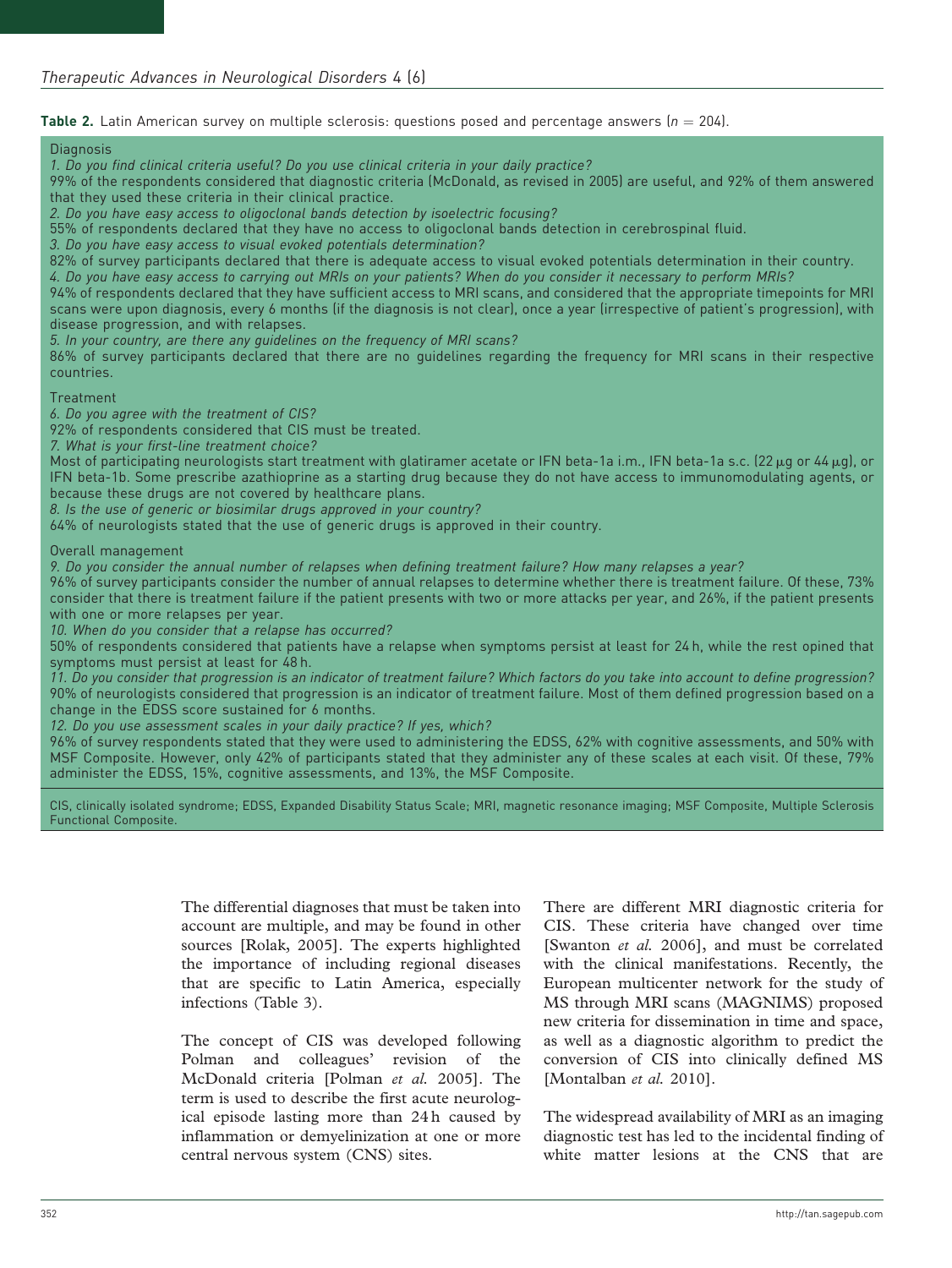**Table 2.** Latin American survey on multiple sclerosis: questions posed and percentage answers  $(n = 204)$ .

### **Diagnosis**

1. Do you find clinical criteria useful? Do you use clinical criteria in your daily practice?

99% of the respondents considered that diagnostic criteria (McDonald, as revised in 2005) are useful, and 92% of them answered that they used these criteria in their clinical practice.

2. Do you have easy access to oligoclonal bands detection by isoelectric focusing?

55% of respondents declared that they have no access to oligoclonal bands detection in cerebrospinal fluid.

3. Do you have easy access to visual evoked potentials determination?

82% of survey participants declared that there is adequate access to visual evoked potentials determination in their country. 4. Do you have easy access to carrying out MRIs on your patients? When do you consider it necessary to perform MRIs?

94% of respondents declared that they have sufficient access to MRI scans, and considered that the appropriate timepoints for MRI scans were upon diagnosis, every 6 months (if the diagnosis is not clear), once a year (irrespective of patient's progression), with disease progression, and with relapses.

5. In your country, are there any guidelines on the frequency of MRI scans?

86% of survey participants declared that there are no guidelines regarding the frequency for MRI scans in their respective countries.

**Treatment** 

6. Do you agree with the treatment of CIS?

92% of respondents considered that CIS must be treated.

7. What is your first-line treatment choice?

Most of participating neurologists start treatment with glatiramer acetate or IFN beta-1a i.m., IFN beta-1a s.c. (22  $\mu$ g or 44  $\mu$ g), or IFN beta-1b. Some prescribe azathioprine as a starting drug because they do not have access to immunomodulating agents, or because these drugs are not covered by healthcare plans.

8. Is the use of generic or biosimilar drugs approved in your country?

64% of neurologists stated that the use of generic drugs is approved in their country.

Overall management

9. Do you consider the annual number of relapses when defining treatment failure? How many relapses a year?

96% of survey participants consider the number of annual relapses to determine whether there is treatment failure. Of these, 73% consider that there is treatment failure if the patient presents with two or more attacks per year, and 26%, if the patient presents with one or more relapses per year.

10. When do you consider that a relapse has occurred?

50% of respondents considered that patients have a relapse when symptoms persist at least for 24 h, while the rest opined that symptoms must persist at least for 48 h.

11. Do you consider that progression is an indicator of treatment failure? Which factors do you take into account to define progression? 90% of neurologists considered that progression is an indicator of treatment failure. Most of them defined progression based on a change in the EDSS score sustained for 6 months.

12. Do you use assessment scales in your daily practice? If yes, which?

96% of survey respondents stated that they were used to administering the EDSS, 62% with cognitive assessments, and 50% with MSF Composite. However, only 42% of participants stated that they administer any of these scales at each visit. Of these, 79% administer the EDSS, 15%, cognitive assessments, and 13%, the MSF Composite.

CIS, clinically isolated syndrome; EDSS, Expanded Disability Status Scale; MRI, magnetic resonance imaging; MSF Composite, Multiple Sclerosis Functional Composite.

> The differential diagnoses that must be taken into account are multiple, and may be found in other sources [Rolak, 2005]. The experts highlighted the importance of including regional diseases that are specific to Latin America, especially infections (Table 3).

> The concept of CIS was developed following Polman and colleagues' revision of the McDonald criteria [Polman et al. 2005]. The term is used to describe the first acute neurological episode lasting more than 24 h caused by inflammation or demyelinization at one or more central nervous system (CNS) sites.

There are different MRI diagnostic criteria for CIS. These criteria have changed over time [Swanton et al. 2006], and must be correlated with the clinical manifestations. Recently, the European multicenter network for the study of MS through MRI scans (MAGNIMS) proposed new criteria for dissemination in time and space, as well as a diagnostic algorithm to predict the conversion of CIS into clinically defined MS [Montalban et al. 2010].

The widespread availability of MRI as an imaging diagnostic test has led to the incidental finding of white matter lesions at the CNS that are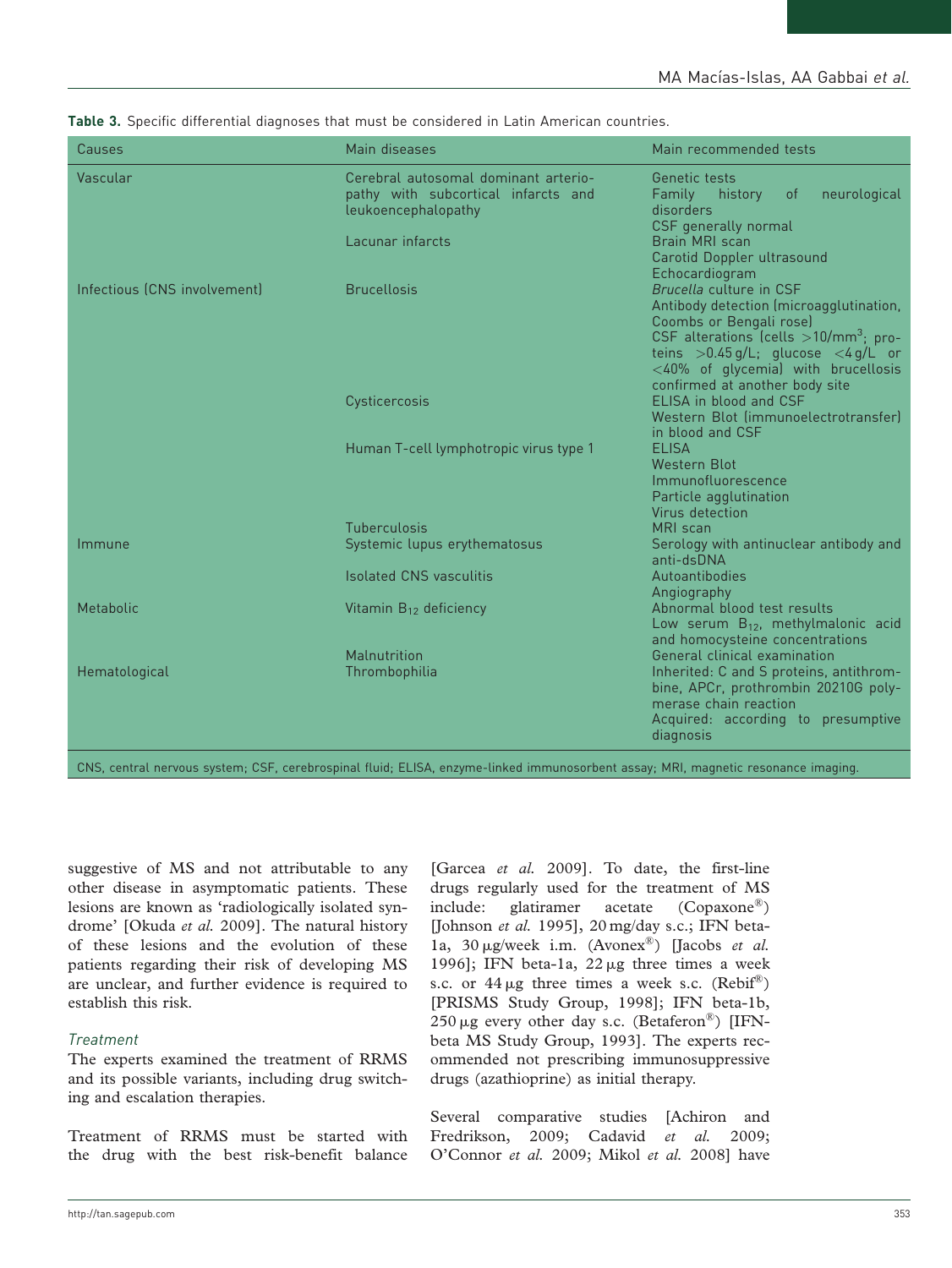| Causes                       | Main diseases                                                                                                                                                                                                                                                                     | Main recommended tests                                                                                                                                                                      |  |  |  |  |
|------------------------------|-----------------------------------------------------------------------------------------------------------------------------------------------------------------------------------------------------------------------------------------------------------------------------------|---------------------------------------------------------------------------------------------------------------------------------------------------------------------------------------------|--|--|--|--|
| Vascular                     | Cerebral autosomal dominant arterio-<br>pathy with subcortical infarcts and<br>leukoencephalopathy<br>Lacunar infarcts                                                                                                                                                            | Genetic tests<br><sub>of</sub><br>neurological<br>Family<br>history<br>disorders<br>CSF generally normal<br>Brain MRI scan                                                                  |  |  |  |  |
|                              |                                                                                                                                                                                                                                                                                   | Carotid Doppler ultrasound<br>Echocardiogram                                                                                                                                                |  |  |  |  |
| Infectious (CNS involvement) | <b>Brucellosis</b><br>Brucella culture in CSF<br>Antibody detection (microagglutination,<br>Coombs or Bengali rose)<br>CSF alterations (cells $>10/mm^3$ ; pro-<br>teins $>0.45$ g/L; glucose $<$ 4g/L or<br><40% of glycemia) with brucellosis<br>confirmed at another body site |                                                                                                                                                                                             |  |  |  |  |
|                              | Cysticercosis                                                                                                                                                                                                                                                                     | ELISA in blood and CSF<br>Western Blot (immunoelectrotransfer)<br>in blood and CSF                                                                                                          |  |  |  |  |
|                              | Human T-cell lymphotropic virus type 1                                                                                                                                                                                                                                            | <b>ELISA</b><br><b>Western Blot</b><br>Immunofluorescence<br>Particle agglutination<br>Virus detection                                                                                      |  |  |  |  |
|                              | <b>Tuberculosis</b>                                                                                                                                                                                                                                                               | MRI scan                                                                                                                                                                                    |  |  |  |  |
| Immune                       | Systemic lupus erythematosus                                                                                                                                                                                                                                                      | Serology with antinuclear antibody and<br>anti-dsDNA                                                                                                                                        |  |  |  |  |
|                              | Isolated CNS vasculitis                                                                                                                                                                                                                                                           | Autoantibodies<br>Angiography                                                                                                                                                               |  |  |  |  |
| Metabolic                    | Vitamin $B_{12}$ deficiency                                                                                                                                                                                                                                                       | Abnormal blood test results<br>Low serum B <sub>12</sub> , methylmalonic acid<br>and homocysteine concentrations                                                                            |  |  |  |  |
| Hematological                | Malnutrition<br>Thrombophilia                                                                                                                                                                                                                                                     | General clinical examination<br>Inherited: C and S proteins, antithrom-<br>bine, APCr, prothrombin 20210G poly-<br>merase chain reaction<br>Acquired: according to presumptive<br>diagnosis |  |  |  |  |

Table 3. Specific differential diagnoses that must be considered in Latin American countries.

CNS, central nervous system; CSF, cerebrospinal fluid; ELISA, enzyme-linked immunosorbent assay; MRI, magnetic resonance imaging.

suggestive of MS and not attributable to any other disease in asymptomatic patients. These lesions are known as 'radiologically isolated syndrome' [Okuda et al. 2009]. The natural history of these lesions and the evolution of these patients regarding their risk of developing MS are unclear, and further evidence is required to establish this risk.

## Treatment

The experts examined the treatment of RRMS and its possible variants, including drug switching and escalation therapies.

Treatment of RRMS must be started with the drug with the best risk-benefit balance

[Garcea et al. 2009]. To date, the first-line drugs regularly used for the treatment of MS include: glatiramer acetate (Copaxone®) [Johnson et al. 1995], 20 mg/day s.c.; IFN beta-1a, 30  $\mu$ g/week i.m. (Avonex<sup>®</sup>) [Jacobs et al. 1996]; IFN beta-1a,  $22 \mu g$  three times a week s.c. or  $44 \mu g$  three times a week s.c. (Rebif®) [PRISMS Study Group, 1998]; IFN beta-1b,  $250 \,\mu$ g every other day s.c. (Betaferon®) [IFNbeta MS Study Group, 1993]. The experts recommended not prescribing immunosuppressive drugs (azathioprine) as initial therapy.

Several comparative studies [Achiron and Fredrikson, 2009; Cadavid et al. 2009; O'Connor et al. 2009; Mikol et al. 2008] have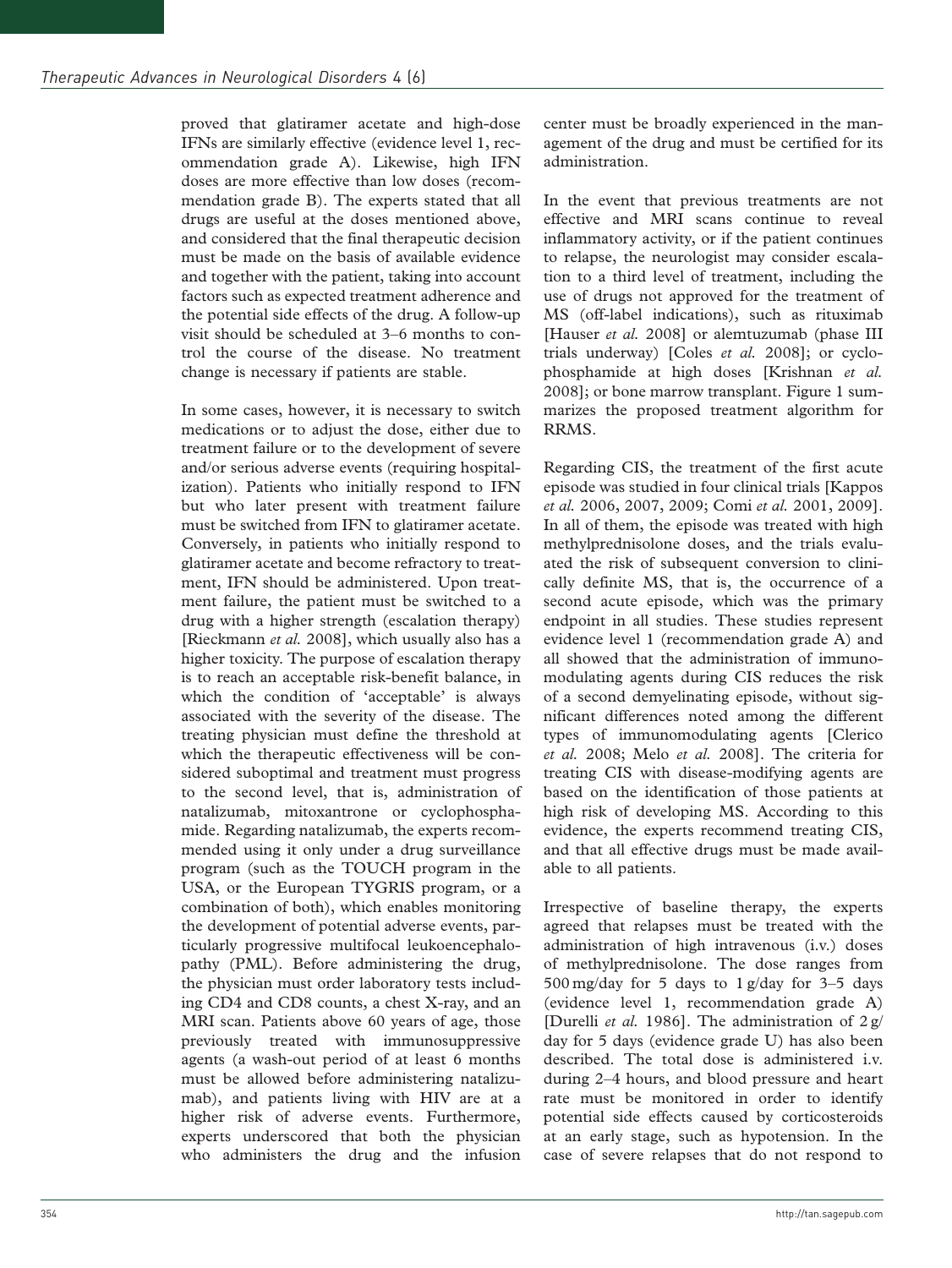proved that glatiramer acetate and high-dose IFNs are similarly effective (evidence level 1, recommendation grade A). Likewise, high IFN doses are more effective than low doses (recommendation grade B). The experts stated that all drugs are useful at the doses mentioned above, and considered that the final therapeutic decision must be made on the basis of available evidence and together with the patient, taking into account factors such as expected treatment adherence and the potential side effects of the drug. A follow-up visit should be scheduled at 3–6 months to control the course of the disease. No treatment change is necessary if patients are stable.

In some cases, however, it is necessary to switch medications or to adjust the dose, either due to treatment failure or to the development of severe and/or serious adverse events (requiring hospitalization). Patients who initially respond to IFN but who later present with treatment failure must be switched from IFN to glatiramer acetate. Conversely, in patients who initially respond to glatiramer acetate and become refractory to treatment, IFN should be administered. Upon treatment failure, the patient must be switched to a drug with a higher strength (escalation therapy) [Rieckmann et al. 2008], which usually also has a higher toxicity. The purpose of escalation therapy is to reach an acceptable risk-benefit balance, in which the condition of 'acceptable' is always associated with the severity of the disease. The treating physician must define the threshold at which the therapeutic effectiveness will be considered suboptimal and treatment must progress to the second level, that is, administration of natalizumab, mitoxantrone or cyclophosphamide. Regarding natalizumab, the experts recommended using it only under a drug surveillance program (such as the TOUCH program in the USA, or the European TYGRIS program, or a combination of both), which enables monitoring the development of potential adverse events, particularly progressive multifocal leukoencephalopathy (PML). Before administering the drug, the physician must order laboratory tests including CD4 and CD8 counts, a chest X-ray, and an MRI scan. Patients above 60 years of age, those previously treated with immunosuppressive agents (a wash-out period of at least 6 months must be allowed before administering natalizumab), and patients living with HIV are at a higher risk of adverse events. Furthermore, experts underscored that both the physician who administers the drug and the infusion

center must be broadly experienced in the management of the drug and must be certified for its administration.

In the event that previous treatments are not effective and MRI scans continue to reveal inflammatory activity, or if the patient continues to relapse, the neurologist may consider escalation to a third level of treatment, including the use of drugs not approved for the treatment of MS (off-label indications), such as rituximab [Hauser et al. 2008] or alemtuzumab (phase III trials underway) [Coles et al. 2008]; or cyclophosphamide at high doses [Krishnan et al. 2008]; or bone marrow transplant. Figure 1 summarizes the proposed treatment algorithm for RRMS.

Regarding CIS, the treatment of the first acute episode was studied in four clinical trials [Kappos et al. 2006, 2007, 2009; Comi et al. 2001, 2009]. In all of them, the episode was treated with high methylprednisolone doses, and the trials evaluated the risk of subsequent conversion to clinically definite MS, that is, the occurrence of a second acute episode, which was the primary endpoint in all studies. These studies represent evidence level 1 (recommendation grade A) and all showed that the administration of immunomodulating agents during CIS reduces the risk of a second demyelinating episode, without significant differences noted among the different types of immunomodulating agents [Clerico et al. 2008; Melo et al. 2008]. The criteria for treating CIS with disease-modifying agents are based on the identification of those patients at high risk of developing MS. According to this evidence, the experts recommend treating CIS, and that all effective drugs must be made available to all patients.

Irrespective of baseline therapy, the experts agreed that relapses must be treated with the administration of high intravenous (i.v.) doses of methylprednisolone. The dose ranges from 500 mg/day for 5 days to 1 g/day for 3–5 days (evidence level 1, recommendation grade A) [Durelli *et al.* 1986]. The administration of  $2 g$ / day for 5 days (evidence grade U) has also been described. The total dose is administered i.v. during 2–4 hours, and blood pressure and heart rate must be monitored in order to identify potential side effects caused by corticosteroids at an early stage, such as hypotension. In the case of severe relapses that do not respond to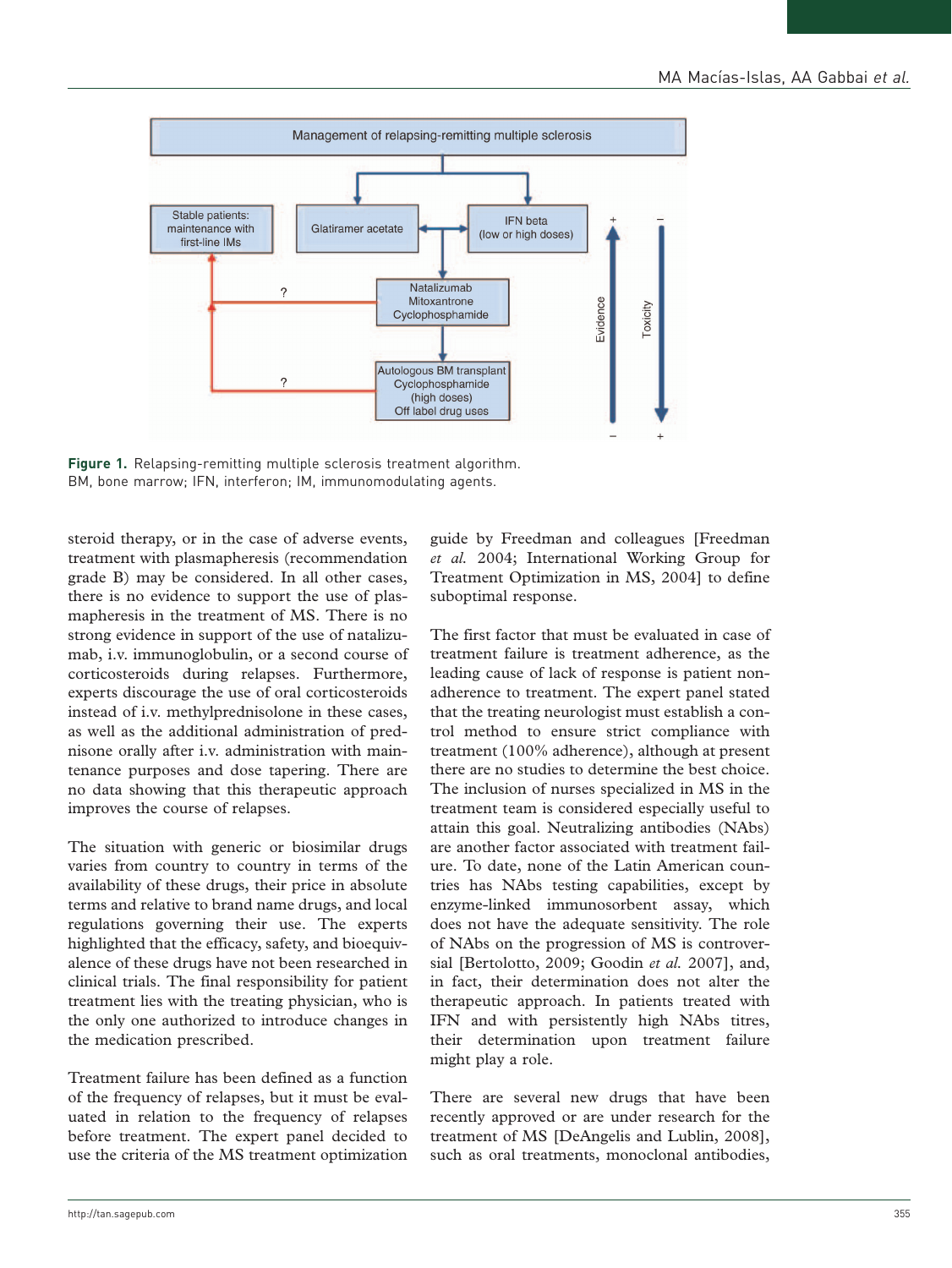

Figure 1. Relapsing-remitting multiple sclerosis treatment algorithm. BM, bone marrow; IFN, interferon; IM, immunomodulating agents.

steroid therapy, or in the case of adverse events, treatment with plasmapheresis (recommendation grade B) may be considered. In all other cases, there is no evidence to support the use of plasmapheresis in the treatment of MS. There is no strong evidence in support of the use of natalizumab, i.v. immunoglobulin, or a second course of corticosteroids during relapses. Furthermore, experts discourage the use of oral corticosteroids instead of i.v. methylprednisolone in these cases, as well as the additional administration of prednisone orally after i.v. administration with maintenance purposes and dose tapering. There are no data showing that this therapeutic approach improves the course of relapses.

The situation with generic or biosimilar drugs varies from country to country in terms of the availability of these drugs, their price in absolute terms and relative to brand name drugs, and local regulations governing their use. The experts highlighted that the efficacy, safety, and bioequivalence of these drugs have not been researched in clinical trials. The final responsibility for patient treatment lies with the treating physician, who is the only one authorized to introduce changes in the medication prescribed.

Treatment failure has been defined as a function of the frequency of relapses, but it must be evaluated in relation to the frequency of relapses before treatment. The expert panel decided to use the criteria of the MS treatment optimization guide by Freedman and colleagues [Freedman et al. 2004; International Working Group for Treatment Optimization in MS, 2004] to define suboptimal response.

The first factor that must be evaluated in case of treatment failure is treatment adherence, as the leading cause of lack of response is patient nonadherence to treatment. The expert panel stated that the treating neurologist must establish a control method to ensure strict compliance with treatment (100% adherence), although at present there are no studies to determine the best choice. The inclusion of nurses specialized in MS in the treatment team is considered especially useful to attain this goal. Neutralizing antibodies (NAbs) are another factor associated with treatment failure. To date, none of the Latin American countries has NAbs testing capabilities, except by enzyme-linked immunosorbent assay, which does not have the adequate sensitivity. The role of NAbs on the progression of MS is controversial [Bertolotto, 2009; Goodin et al. 2007], and, in fact, their determination does not alter the therapeutic approach. In patients treated with IFN and with persistently high NAbs titres, their determination upon treatment failure might play a role.

There are several new drugs that have been recently approved or are under research for the treatment of MS [DeAngelis and Lublin, 2008], such as oral treatments, monoclonal antibodies,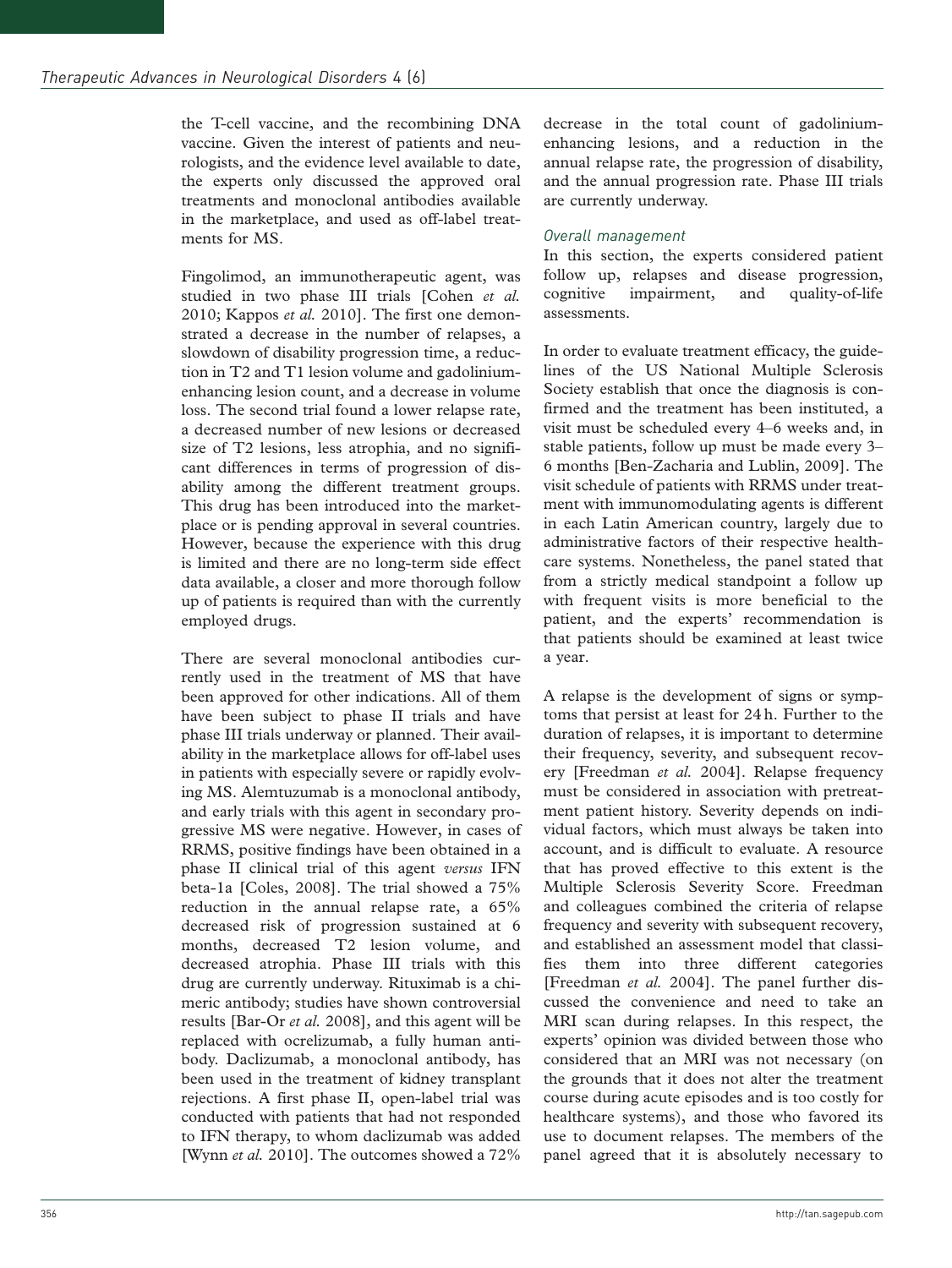the T-cell vaccine, and the recombining DNA vaccine. Given the interest of patients and neurologists, and the evidence level available to date, the experts only discussed the approved oral treatments and monoclonal antibodies available in the marketplace, and used as off-label treatments for MS.

Fingolimod, an immunotherapeutic agent, was studied in two phase III trials [Cohen et al. 2010; Kappos et al. 2010]. The first one demonstrated a decrease in the number of relapses, a slowdown of disability progression time, a reduction in T2 and T1 lesion volume and gadoliniumenhancing lesion count, and a decrease in volume loss. The second trial found a lower relapse rate, a decreased number of new lesions or decreased size of T2 lesions, less atrophia, and no significant differences in terms of progression of disability among the different treatment groups. This drug has been introduced into the marketplace or is pending approval in several countries. However, because the experience with this drug is limited and there are no long-term side effect data available, a closer and more thorough follow up of patients is required than with the currently employed drugs.

There are several monoclonal antibodies currently used in the treatment of MS that have been approved for other indications. All of them have been subject to phase II trials and have phase III trials underway or planned. Their availability in the marketplace allows for off-label uses in patients with especially severe or rapidly evolving MS. Alemtuzumab is a monoclonal antibody, and early trials with this agent in secondary progressive MS were negative. However, in cases of RRMS, positive findings have been obtained in a phase II clinical trial of this agent versus IFN beta-1a [Coles, 2008]. The trial showed a 75% reduction in the annual relapse rate, a 65% decreased risk of progression sustained at 6 months, decreased T2 lesion volume, and decreased atrophia. Phase III trials with this drug are currently underway. Rituximab is a chimeric antibody; studies have shown controversial results [Bar-Or et al. 2008], and this agent will be replaced with ocrelizumab, a fully human antibody. Daclizumab, a monoclonal antibody, has been used in the treatment of kidney transplant rejections. A first phase II, open-label trial was conducted with patients that had not responded to IFN therapy, to whom daclizumab was added [Wynn et al. 2010]. The outcomes showed a 72%

decrease in the total count of gadoliniumenhancing lesions, and a reduction in the annual relapse rate, the progression of disability, and the annual progression rate. Phase III trials are currently underway.

# Overall management

In this section, the experts considered patient follow up, relapses and disease progression, cognitive impairment, and quality-of-life assessments.

In order to evaluate treatment efficacy, the guidelines of the US National Multiple Sclerosis Society establish that once the diagnosis is confirmed and the treatment has been instituted, a visit must be scheduled every 4–6 weeks and, in stable patients, follow up must be made every 3– 6 months [Ben-Zacharia and Lublin, 2009]. The visit schedule of patients with RRMS under treatment with immunomodulating agents is different in each Latin American country, largely due to administrative factors of their respective healthcare systems. Nonetheless, the panel stated that from a strictly medical standpoint a follow up with frequent visits is more beneficial to the patient, and the experts' recommendation is that patients should be examined at least twice a year.

A relapse is the development of signs or symptoms that persist at least for 24 h. Further to the duration of relapses, it is important to determine their frequency, severity, and subsequent recovery [Freedman et al. 2004]. Relapse frequency must be considered in association with pretreatment patient history. Severity depends on individual factors, which must always be taken into account, and is difficult to evaluate. A resource that has proved effective to this extent is the Multiple Sclerosis Severity Score. Freedman and colleagues combined the criteria of relapse frequency and severity with subsequent recovery, and established an assessment model that classifies them into three different categories [Freedman et al. 2004]. The panel further discussed the convenience and need to take an MRI scan during relapses. In this respect, the experts' opinion was divided between those who considered that an MRI was not necessary (on the grounds that it does not alter the treatment course during acute episodes and is too costly for healthcare systems), and those who favored its use to document relapses. The members of the panel agreed that it is absolutely necessary to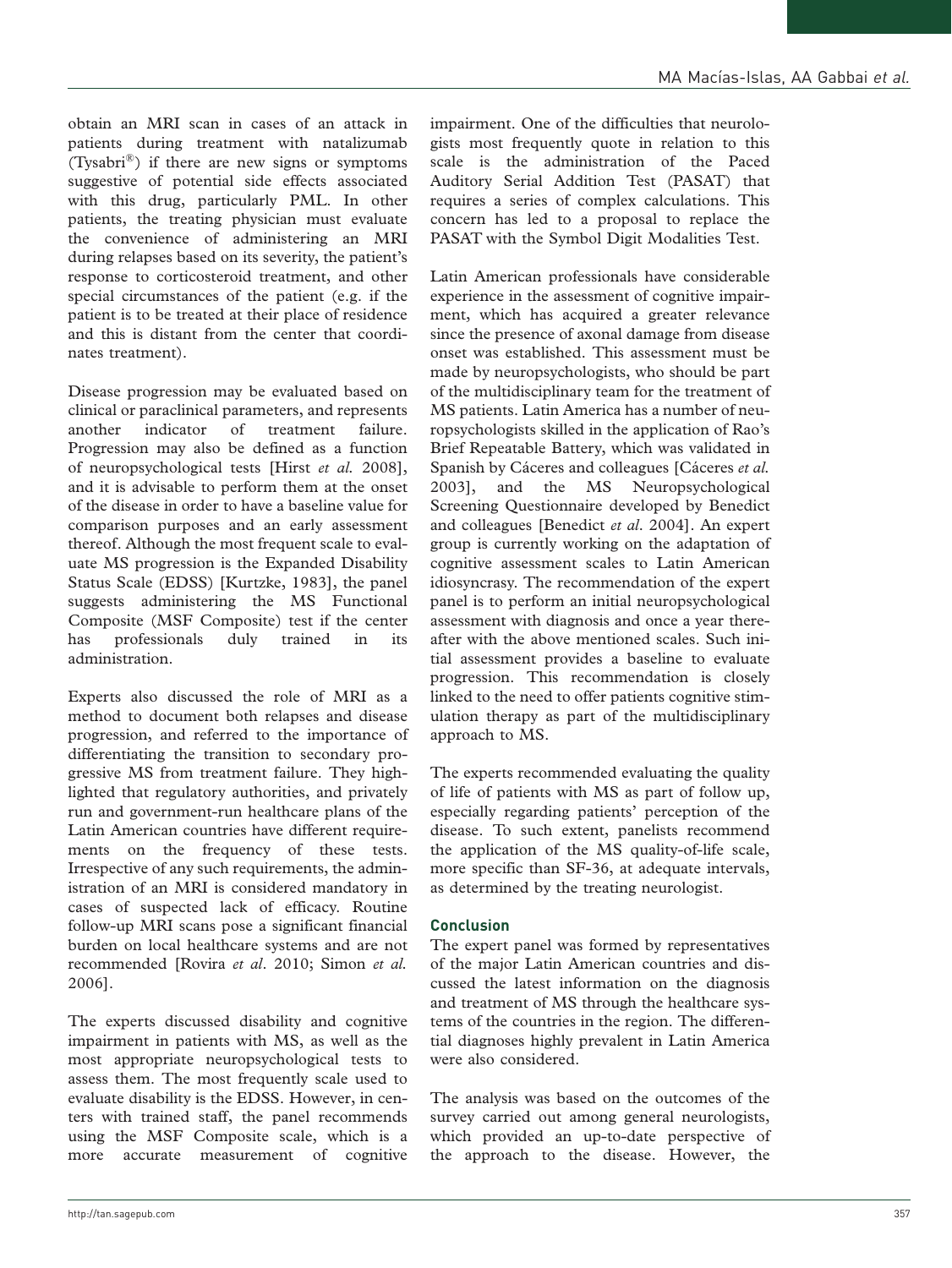obtain an MRI scan in cases of an attack in patients during treatment with natalizumab (Tysabri®) if there are new signs or symptoms suggestive of potential side effects associated with this drug, particularly PML. In other patients, the treating physician must evaluate the convenience of administering an MRI during relapses based on its severity, the patient's response to corticosteroid treatment, and other special circumstances of the patient (e.g. if the patient is to be treated at their place of residence and this is distant from the center that coordinates treatment).

Disease progression may be evaluated based on clinical or paraclinical parameters, and represents another indicator of treatment failure. Progression may also be defined as a function of neuropsychological tests [Hirst et al. 2008], and it is advisable to perform them at the onset of the disease in order to have a baseline value for comparison purposes and an early assessment thereof. Although the most frequent scale to evaluate MS progression is the Expanded Disability Status Scale (EDSS) [Kurtzke, 1983], the panel suggests administering the MS Functional Composite (MSF Composite) test if the center has professionals duly trained in its administration.

Experts also discussed the role of MRI as a method to document both relapses and disease progression, and referred to the importance of differentiating the transition to secondary progressive MS from treatment failure. They highlighted that regulatory authorities, and privately run and government-run healthcare plans of the Latin American countries have different requirements on the frequency of these tests. Irrespective of any such requirements, the administration of an MRI is considered mandatory in cases of suspected lack of efficacy. Routine follow-up MRI scans pose a significant financial burden on local healthcare systems and are not recommended [Rovira et al. 2010; Simon et al. 2006].

The experts discussed disability and cognitive impairment in patients with MS, as well as the most appropriate neuropsychological tests to assess them. The most frequently scale used to evaluate disability is the EDSS. However, in centers with trained staff, the panel recommends using the MSF Composite scale, which is a more accurate measurement of cognitive impairment. One of the difficulties that neurologists most frequently quote in relation to this scale is the administration of the Paced Auditory Serial Addition Test (PASAT) that requires a series of complex calculations. This concern has led to a proposal to replace the PASAT with the Symbol Digit Modalities Test.

Latin American professionals have considerable experience in the assessment of cognitive impairment, which has acquired a greater relevance since the presence of axonal damage from disease onset was established. This assessment must be made by neuropsychologists, who should be part of the multidisciplinary team for the treatment of MS patients. Latin America has a number of neuropsychologists skilled in the application of Rao's Brief Repeatable Battery, which was validated in Spanish by Cáceres and colleagues [Cáceres et al. 2003], and the MS Neuropsychological Screening Questionnaire developed by Benedict and colleagues [Benedict et al. 2004]. An expert group is currently working on the adaptation of cognitive assessment scales to Latin American idiosyncrasy. The recommendation of the expert panel is to perform an initial neuropsychological assessment with diagnosis and once a year thereafter with the above mentioned scales. Such initial assessment provides a baseline to evaluate progression. This recommendation is closely linked to the need to offer patients cognitive stimulation therapy as part of the multidisciplinary approach to MS.

The experts recommended evaluating the quality of life of patients with MS as part of follow up, especially regarding patients' perception of the disease. To such extent, panelists recommend the application of the MS quality-of-life scale, more specific than SF-36, at adequate intervals, as determined by the treating neurologist.

## Conclusion

The expert panel was formed by representatives of the major Latin American countries and discussed the latest information on the diagnosis and treatment of MS through the healthcare systems of the countries in the region. The differential diagnoses highly prevalent in Latin America were also considered.

The analysis was based on the outcomes of the survey carried out among general neurologists, which provided an up-to-date perspective of the approach to the disease. However, the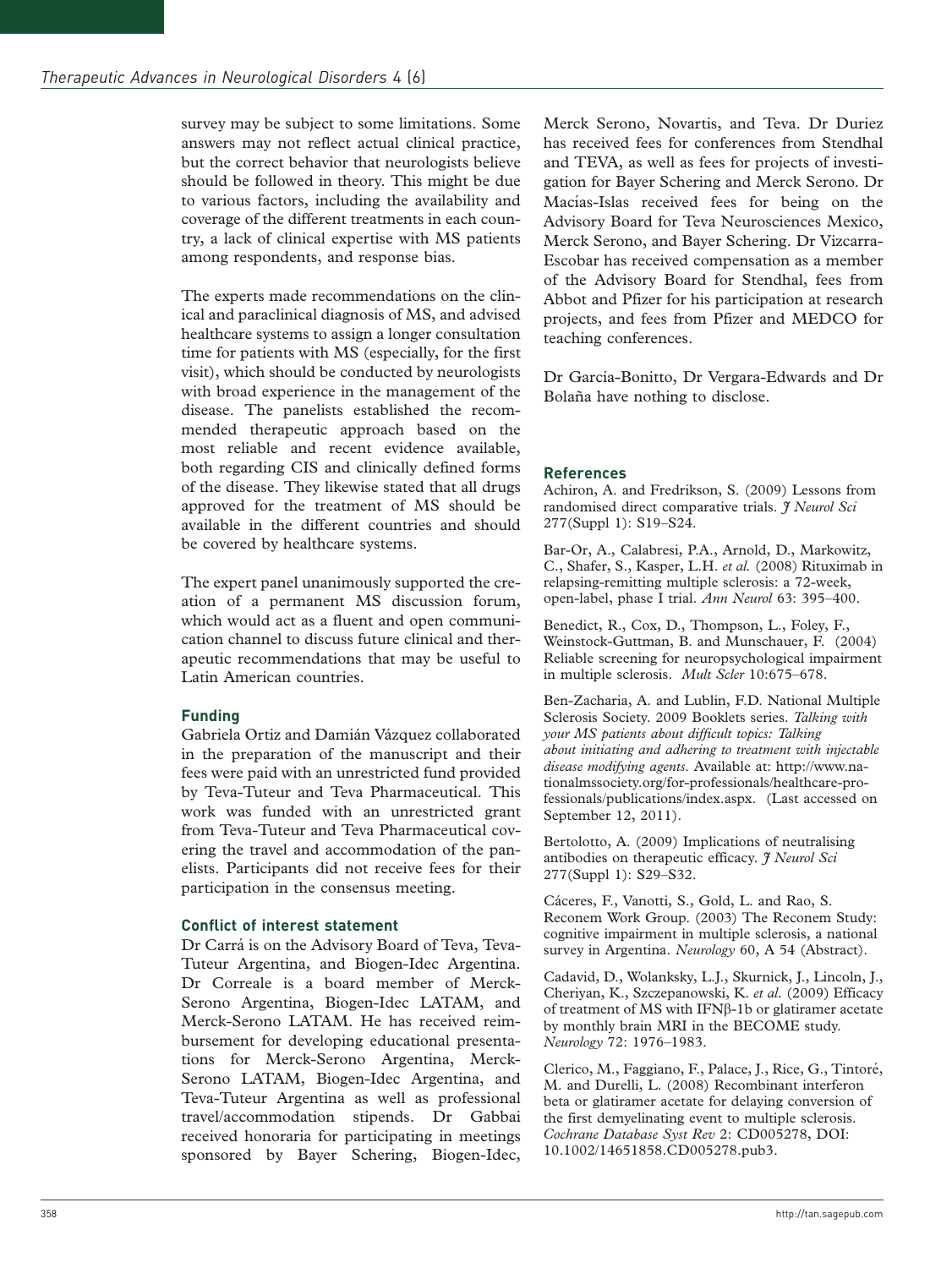survey may be subject to some limitations. Some answers may not reflect actual clinical practice, but the correct behavior that neurologists believe should be followed in theory. This might be due to various factors, including the availability and coverage of the different treatments in each country, a lack of clinical expertise with MS patients among respondents, and response bias.

The experts made recommendations on the clinical and paraclinical diagnosis of MS, and advised healthcare systems to assign a longer consultation time for patients with MS (especially, for the first visit), which should be conducted by neurologists with broad experience in the management of the disease. The panelists established the recommended therapeutic approach based on the most reliable and recent evidence available, both regarding CIS and clinically defined forms of the disease. They likewise stated that all drugs approved for the treatment of MS should be available in the different countries and should be covered by healthcare systems.

The expert panel unanimously supported the creation of a permanent MS discussion forum, which would act as a fluent and open communication channel to discuss future clinical and therapeutic recommendations that may be useful to Latin American countries.

# Funding

Gabriela Ortiz and Damián Vázquez collaborated in the preparation of the manuscript and their fees were paid with an unrestricted fund provided by Teva-Tuteur and Teva Pharmaceutical. This work was funded with an unrestricted grant from Teva-Tuteur and Teva Pharmaceutical covering the travel and accommodation of the panelists. Participants did not receive fees for their participation in the consensus meeting.

## Conflict of interest statement

Dr Carrá is on the Advisory Board of Teva, Teva-Tuteur Argentina, and Biogen-Idec Argentina. Dr Correale is a board member of Merck-Serono Argentina, Biogen-Idec LATAM, and Merck-Serono LATAM. He has received reimbursement for developing educational presentations for Merck-Serono Argentina, Merck-Serono LATAM, Biogen-Idec Argentina, and Teva-Tuteur Argentina as well as professional travel/accommodation stipends. Dr Gabbai received honoraria for participating in meetings sponsored by Bayer Schering, Biogen-Idec,

Merck Serono, Novartis, and Teva. Dr Duriez has received fees for conferences from Stendhal and TEVA, as well as fees for projects of investigation for Bayer Schering and Merck Serono. Dr Macías-Islas received fees for being on the Advisory Board for Teva Neurosciences Mexico, Merck Serono, and Bayer Schering. Dr Vizcarra-Escobar has received compensation as a member of the Advisory Board for Stendhal, fees from Abbot and Pfizer for his participation at research projects, and fees from Pfizer and MEDCO for teaching conferences.

Dr García-Bonitto, Dr Vergara-Edwards and Dr Bolaña have nothing to disclose.

## References

Achiron, A. and Fredrikson, S. (2009) Lessons from randomised direct comparative trials. *I Neurol Sci* 277(Suppl 1): S19–S24.

Bar-Or, A., Calabresi, P.A., Arnold, D., Markowitz, C., Shafer, S., Kasper, L.H. et al. (2008) Rituximab in relapsing-remitting multiple sclerosis: a 72-week, open-label, phase I trial. Ann Neurol 63: 395–400.

Benedict, R., Cox, D., Thompson, L., Foley, F., Weinstock-Guttman, B. and Munschauer, F. (2004) Reliable screening for neuropsychological impairment in multiple sclerosis. Mult Scler 10:675–678.

Ben-Zacharia, A. and Lublin, F.D. National Multiple Sclerosis Society. 2009 Booklets series. Talking with your MS patients about difficult topics: Talking about initiating and adhering to treatment with injectable disease modifying agents. Available at: http://www.nationalmssociety.org/for-professionals/healthcare-professionals/publications/index.aspx. (Last accessed on September 12, 2011).

Bertolotto, A. (2009) Implications of neutralising antibodies on therapeutic efficacy.  $\hat{\jmath}$  Neurol Sci 277(Suppl 1): S29–S32.

Cáceres, F., Vanotti, S., Gold, L. and Rao, S. Reconem Work Group. (2003) The Reconem Study: cognitive impairment in multiple sclerosis, a national survey in Argentina. Neurology 60, A 54 (Abstract).

Cadavid, D., Wolanksky, L.J., Skurnick, J., Lincoln, J., Cheriyan, K., Szczepanowski, K. et al. (2009) Efficacy of treatment of MS with IFNB-1b or glatiramer acetate by monthly brain MRI in the BECOME study. Neurology 72: 1976–1983.

Clerico, M., Faggiano, F., Palace, J., Rice, G., Tintoré, M. and Durelli, L. (2008) Recombinant interferon beta or glatiramer acetate for delaying conversion of the first demyelinating event to multiple sclerosis. Cochrane Database Syst Rev 2: CD005278, DOI: 10.1002/14651858.CD005278.pub3.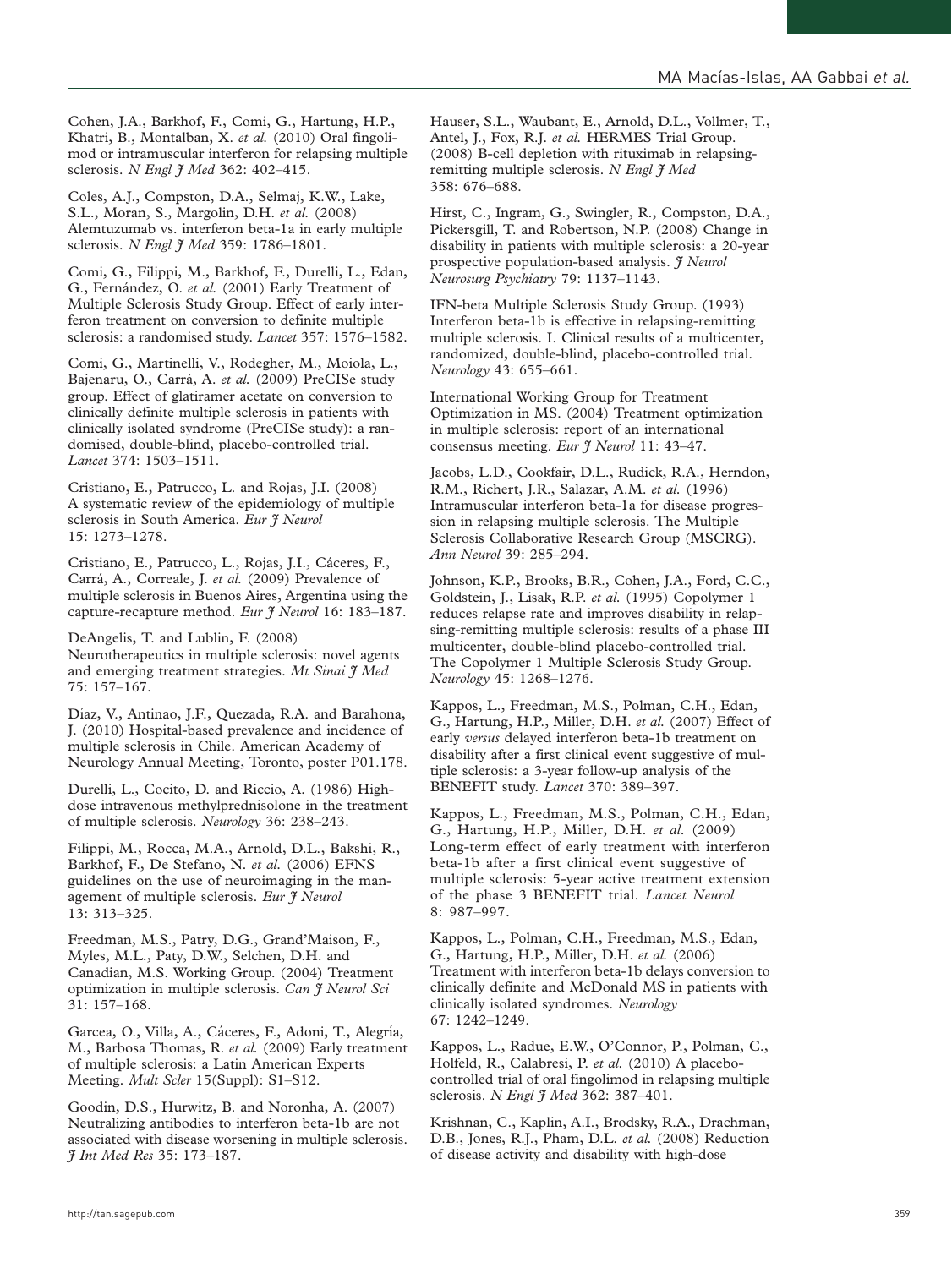Cohen, J.A., Barkhof, F., Comi, G., Hartung, H.P., Khatri, B., Montalban, X. et al. (2010) Oral fingolimod or intramuscular interferon for relapsing multiple sclerosis. N Engl J Med 362: 402-415.

Coles, A.J., Compston, D.A., Selmaj, K.W., Lake, S.L., Moran, S., Margolin, D.H. et al. (2008) Alemtuzumab vs. interferon beta-1a in early multiple sclerosis. N Engl I Med 359: 1786-1801.

Comi, G., Filippi, M., Barkhof, F., Durelli, L., Edan, G., Fernández, O. et al. (2001) Early Treatment of Multiple Sclerosis Study Group. Effect of early interferon treatment on conversion to definite multiple sclerosis: a randomised study. Lancet 357: 1576–1582.

Comi, G., Martinelli, V., Rodegher, M., Moiola, L., Bajenaru, O., Carrá, A. et al. (2009) PreCISe study group. Effect of glatiramer acetate on conversion to clinically definite multiple sclerosis in patients with clinically isolated syndrome (PreCISe study): a randomised, double-blind, placebo-controlled trial. Lancet 374: 1503–1511.

Cristiano, E., Patrucco, L. and Rojas, J.I. (2008) A systematic review of the epidemiology of multiple sclerosis in South America. Eur I Neurol 15: 1273–1278.

Cristiano, E., Patrucco, L., Rojas, J.I., Cáceres, F., Carrá, A., Correale, J. et al. (2009) Prevalence of multiple sclerosis in Buenos Aires, Argentina using the capture-recapture method. Eur J Neurol 16: 183-187.

DeAngelis, T. and Lublin, F. (2008) Neurotherapeutics in multiple sclerosis: novel agents and emerging treatment strategies. Mt Sinai  $\mathfrak{Z}$  Med 75: 157–167.

Díaz, V., Antinao, J.F., Quezada, R.A. and Barahona, J. (2010) Hospital-based prevalence and incidence of multiple sclerosis in Chile. American Academy of Neurology Annual Meeting, Toronto, poster P01.178.

Durelli, L., Cocito, D. and Riccio, A. (1986) Highdose intravenous methylprednisolone in the treatment of multiple sclerosis. Neurology 36: 238–243.

Filippi, M., Rocca, M.A., Arnold, D.L., Bakshi, R., Barkhof, F., De Stefano, N. et al. (2006) EFNS guidelines on the use of neuroimaging in the management of multiple sclerosis. Eur J Neurol 13: 313–325.

Freedman, M.S., Patry, D.G., Grand'Maison, F., Myles, M.L., Paty, D.W., Selchen, D.H. and Canadian, M.S. Working Group. (2004) Treatment optimization in multiple sclerosis. Can I Neurol Sci 31: 157–168.

Garcea, O., Villa, A., Cáceres, F., Adoni, T., Alegría, M., Barbosa Thomas, R. et al. (2009) Early treatment of multiple sclerosis: a Latin American Experts Meeting. Mult Scler 15(Suppl): S1–S12.

Goodin, D.S., Hurwitz, B. and Noronha, A. (2007) Neutralizing antibodies to interferon beta-1b are not associated with disease worsening in multiple sclerosis. J Int Med Res 35: 173–187.

Hauser, S.L., Waubant, E., Arnold, D.L., Vollmer, T., Antel, J., Fox, R.J. et al. HERMES Trial Group. (2008) B-cell depletion with rituximab in relapsingremitting multiple sclerosis. N Engl  $\widetilde{\jmath}$  Med 358: 676–688.

Hirst, C., Ingram, G., Swingler, R., Compston, D.A., Pickersgill, T. and Robertson, N.P. (2008) Change in disability in patients with multiple sclerosis: a 20-year prospective population-based analysis. *J Neurol* Neurosurg Psychiatry 79: 1137–1143.

IFN-beta Multiple Sclerosis Study Group. (1993) Interferon beta-1b is effective in relapsing-remitting multiple sclerosis. I. Clinical results of a multicenter, randomized, double-blind, placebo-controlled trial. Neurology 43: 655–661.

International Working Group for Treatment Optimization in MS. (2004) Treatment optimization in multiple sclerosis: report of an international consensus meeting. Eur  $\frac{4}{7}$  Neurol 11: 43-47.

Jacobs, L.D., Cookfair, D.L., Rudick, R.A., Herndon, R.M., Richert, J.R., Salazar, A.M. et al. (1996) Intramuscular interferon beta-1a for disease progression in relapsing multiple sclerosis. The Multiple Sclerosis Collaborative Research Group (MSCRG). Ann Neurol 39: 285–294.

Johnson, K.P., Brooks, B.R., Cohen, J.A., Ford, C.C., Goldstein, J., Lisak, R.P. et al. (1995) Copolymer 1 reduces relapse rate and improves disability in relapsing-remitting multiple sclerosis: results of a phase III multicenter, double-blind placebo-controlled trial. The Copolymer 1 Multiple Sclerosis Study Group. Neurology 45: 1268–1276.

Kappos, L., Freedman, M.S., Polman, C.H., Edan, G., Hartung, H.P., Miller, D.H. et al. (2007) Effect of early versus delayed interferon beta-1b treatment on disability after a first clinical event suggestive of multiple sclerosis: a 3-year follow-up analysis of the BENEFIT study. Lancet 370: 389–397.

Kappos, L., Freedman, M.S., Polman, C.H., Edan, G., Hartung, H.P., Miller, D.H. et al. (2009) Long-term effect of early treatment with interferon beta-1b after a first clinical event suggestive of multiple sclerosis: 5-year active treatment extension of the phase 3 BENEFIT trial. Lancet Neurol 8: 987–997.

Kappos, L., Polman, C.H., Freedman, M.S., Edan, G., Hartung, H.P., Miller, D.H. et al. (2006) Treatment with interferon beta-1b delays conversion to clinically definite and McDonald MS in patients with clinically isolated syndromes. Neurology 67: 1242–1249.

Kappos, L., Radue, E.W., O'Connor, P., Polman, C., Holfeld, R., Calabresi, P. et al. (2010) A placebocontrolled trial of oral fingolimod in relapsing multiple sclerosis. N Engl J Med 362: 387-401.

Krishnan, C., Kaplin, A.I., Brodsky, R.A., Drachman, D.B., Jones, R.J., Pham, D.L. et al. (2008) Reduction of disease activity and disability with high-dose